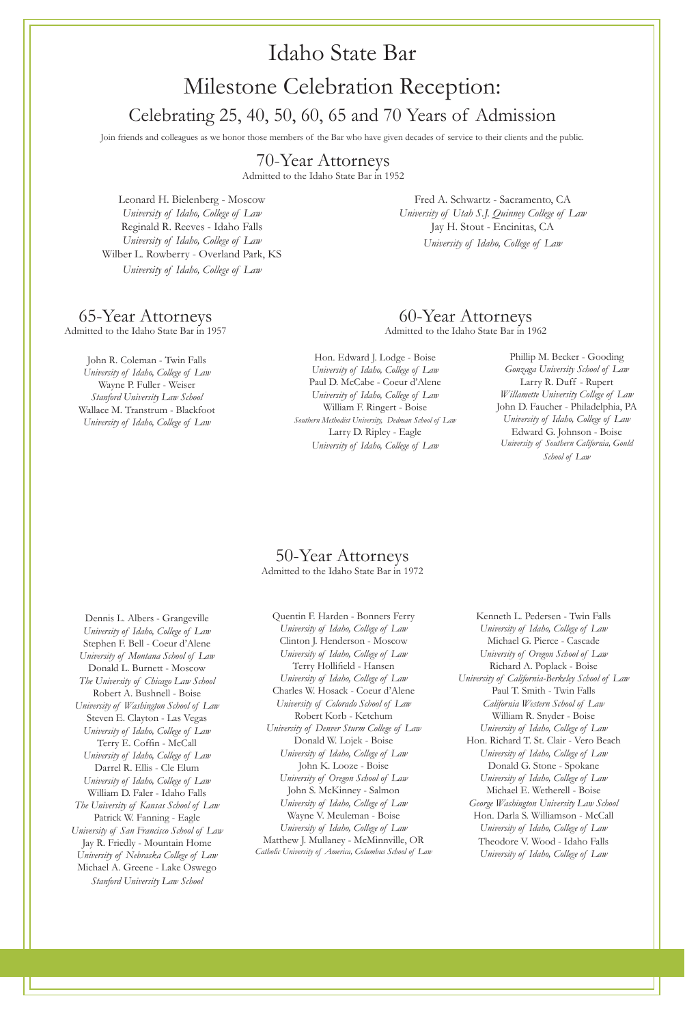### Idaho State Bar

# Milestone Celebration Reception: Celebrating 25, 40, 50, 60, 65 and 70 Years of Admission

Join friends and colleagues as we honor those members of the Bar who have given decades of service to their clients and the public.

Leonard H. Bielenberg - Moscow *University of Idaho, College of Law* Reginald R. Reeves - Idaho Falls *University of Idaho, College of Law* Wilber L. Rowberry - Overland Park, KS *University of Idaho, College of Law*

> Hon. Edward J. Lodge - Boise *University of Idaho, College of Law* Paul D. McCabe - Coeur d'Alene *University of Idaho, College of Law* William F. Ringert - Boise *Southern Methodist University, Dedman School of Law*

> > Larry D. Ripley - Eagle *University of Idaho, College of Law*

Phillip M. Becker - Gooding *Gonzaga University School of Law* Larry R. Duff - Rupert *Willamette University College of Law* John D. Faucher - Philadelphia, PA *University of Idaho, College of Law* Edward G. Johnson - Boise *University of Southern California, Gould School of Law*

#### 50-Year Attorneys Admitted to the Idaho State Bar in 1972

Dennis L. Albers - Grangeville *University of Idaho, College of Law* Stephen F. Bell - Coeur d'Alene *University of Montana School of Law* Donald L. Burnett - Moscow *The University of Chicago Law School* Robert A. Bushnell - Boise *University of Washington School of Law* Steven E. Clayton - Las Vegas *University of Idaho, College of Law* Terry E. Coffin - McCall *University of Idaho, College of Law* Darrel R. Ellis - Cle Elum *University of Idaho, College of Law* William D. Faler - Idaho Falls *The University of Kansas School of Law* Patrick W. Fanning - Eagle *University of San Francisco School of Law* Jay R. Friedly - Mountain Home *University of Nebraska College of Law* Michael A. Greene - Lake Oswego *Stanford University Law School*

### 70-Year Attorneys

Admitted to the Idaho State Bar in 1952

Fred A. Schwartz - Sacramento, CA *University of Utah S.J. Quinney College of Law* Jay H. Stout - Encinitas, CA *University of Idaho, College of Law*

#### 60-Year Attorneys Admitted to the Idaho State Bar in 1962

### 65-Year Attorneys

Admitted to the Idaho State Bar in 1957

Quentin F. Harden - Bonners Ferry *University of Idaho, College of Law* Clinton J. Henderson - Moscow *University of Idaho, College of Law* Terry Hollifield - Hansen *University of Idaho, College of Law* Charles W. Hosack - Coeur d'Alene *University of Colorado School of Law* Robert Korb - Ketchum *University of Denver Sturm College of Law* Donald W. Lojek - Boise *University of Idaho, College of Law* John K. Looze - Boise *University of Oregon School of Law* John S. McKinney - Salmon *University of Idaho, College of Law* Wayne V. Meuleman - Boise *University of Idaho, College of Law* Matthew J. Mullaney - McMinnville, OR *Catholic University of America, Columbus School of Law*

Kenneth L. Pedersen - Twin Falls *University of Idaho, College of Law* Michael G. Pierce - Cascade *University of Oregon School of Law* Richard A. Poplack - Boise *University of California-Berkeley School of Law* Paul T. Smith - Twin Falls *California Western School of Law* William R. Snyder - Boise *University of Idaho, College of Law* Hon. Richard T. St. Clair - Vero Beach *University of Idaho, College of Law* Donald G. Stone - Spokane *University of Idaho, College of Law* Michael E. Wetherell - Boise *George Washington University Law School* Hon. Darla S. Williamson - McCall *University of Idaho, College of Law* Theodore V. Wood - Idaho Falls



John R. Coleman - Twin Falls *University of Idaho, College of Law* Wayne P. Fuller - Weiser *Stanford University Law School* Wallace M. Transtrum - Blackfoot *University of Idaho, College of Law*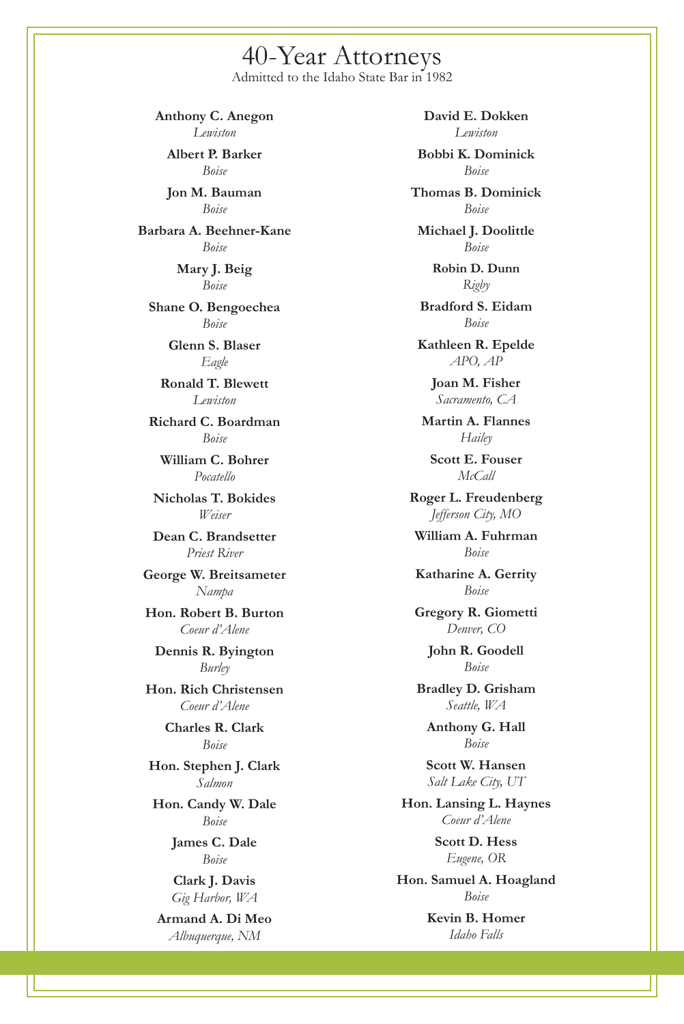**Anthony C. Anegon** *Lewiston*

**Albert P. Barker** *Boise*

**Jon M. Bauman** *Boise*

**Barbara A. Beehner-Kane** *Boise*

> **Mary J. Beig** *Boise*

**Shane O. Bengoechea** *Boise*

**Glenn S. Blaser**

*Eagle*

**Ronald T. Blewett** *Lewiston*

**Richard C. Boardman** *Boise*

**William C. Bohrer** *Pocatello*

**Nicholas T. Bokides** *Weiser*

**Dean C. Brandsetter** *Priest River*

**George W. Breitsameter** *Nampa*

**Hon. Robert B. Burton** *Coeur d'Alene*

**Dennis R. Byington** *Burley*

**Hon. Rich Christensen** *Coeur d'Alene*

> **Charles R. Clark** *Boise*

**Hon. Stephen J. Clark** *Salmon*

**Hon. Candy W. Dale** *Boise*

> **James C. Dale** *Boise*

**Clark J. Davis** *Gig Harbor, WA*

**Armand A. Di Meo** *Albuquerque, NM*

**David E. Dokken** *Lewiston*

**Bobbi K. Dominick** *Boise*

**Thomas B. Dominick** *Boise*

**Michael J. Doolittle** *Boise*

> **Robin D. Dunn** *Rigby*

**Bradford S. Eidam** *Boise*

**Kathleen R. Epelde**

*APO, AP*

**Joan M. Fisher** *Sacramento, CA*

**Martin A. Flannes** *Hailey*

**Scott E. Fouser** *McCall*

**Roger L. Freudenberg** *Jefferson City, MO*

**William A. Fuhrman** *Boise*

**Katharine A. Gerrity** *Boise*

**Gregory R. Giometti** *Denver, CO*

> **John R. Goodell** *Boise*

**Bradley D. Grisham** *Seattle, WA*

**Anthony G. Hall** *Boise*

**Scott W. Hansen** *Salt Lake City, UT*

**Hon. Lansing L. Haynes** *Coeur d'Alene*

> **Scott D. Hess** *Eugene, OR*

**Hon. Samuel A. Hoagland** *Boise*

> **Kevin B. Homer** *Idaho Falls*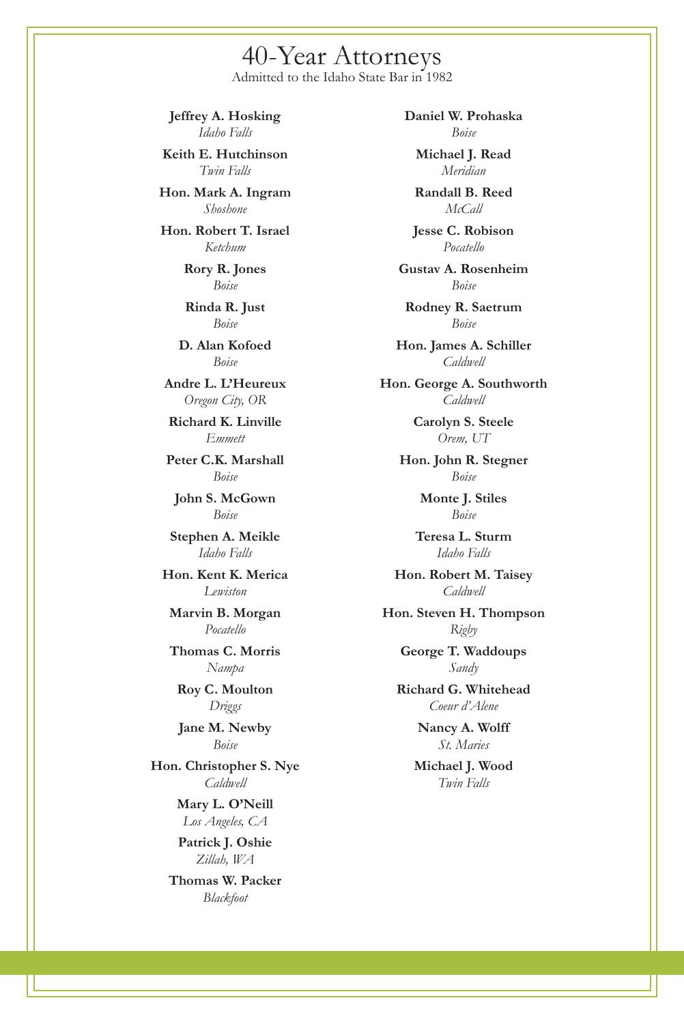**Daniel W. Prohaska** *Boise*

**Michael J. Read** *Meridian*

**Randall B. Reed** *McCall*

**Jesse C. Robison** *Pocatello*

**Gustav A. Rosenheim** *Boise*

**Rodney R. Saetrum** *Boise*

**Hon. James A. Schiller**

*Caldwell*

**Hon. George A. Southworth** *Caldwell*

> **Carolyn S. Steele** *Orem, UT*

**Hon. John R. Stegner** *Boise*

> **Monte J. Stiles** *Boise*

**Teresa L. Sturm** *Idaho Falls*

**Hon. Robert M. Taisey** *Caldwell*

**Hon. Steven H. Thompson** *Rigby* **George T. Waddoups** *Sandy* **Richard G. Whitehead**

*Coeur d'Alene*

**Nancy A. Wolff** *St. Maries*

**Michael J. Wood** *Twin Falls*

**Jeffrey A. Hosking** *Idaho Falls*

**Keith E. Hutchinson** *Twin Falls*

**Hon. Mark A. Ingram** *Shoshone*

**Hon. Robert T. Israel** *Ketchum*

> **Rory R. Jones** *Boise*

**Rinda R. Just** *Boise*

**D. Alan Kofoed**

*Boise*

**Andre L. L'Heureux** *Oregon City, OR*

**Richard K. Linville** *Emmett*

**Peter C.K. Marshall** *Boise*

**John S. McGown** *Boise*

**Stephen A. Meikle** *Idaho Falls*

**Hon. Kent K. Merica** *Lewiston*

**Marvin B. Morgan** *Pocatello*

**Thomas C. Morris** *Nampa*

**Roy C. Moulton** *Driggs*

**Jane M. Newby** *Boise*

**Hon. Christopher S. Nye** *Caldwell*

> **Mary L. O'Neill** *Los Angeles, CA*

**Patrick J. Oshie** *Zillah, WA*

**Thomas W. Packer** *Blackfoot*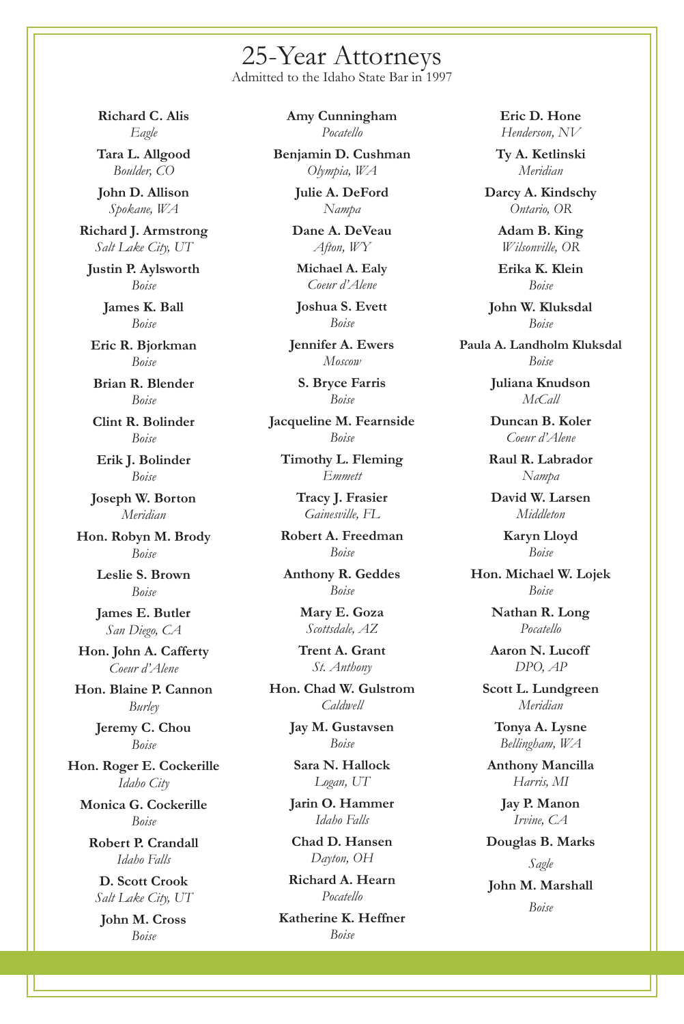**Richard C. Alis** *Eagle*

**Tara L. Allgood** *Boulder, CO*

**John D. Allison** *Spokane, WA*

**Richard J. Armstrong** *Salt Lake City, UT* **Justin P. Aylsworth** *Boise* **James K. Ball** *Boise* **Eric R. Bjorkman**

*Boise*

**Brian R. Blender** *Boise*

**Clint R. Bolinder** *Boise*

**Erik J. Bolinder** *Boise*

**Joseph W. Borton** *Meridian*

**Hon. Robyn M. Brody** *Boise*

> **Leslie S. Brown** *Boise*

**James E. Butler** *San Diego, CA*

**Hon. John A. Cafferty** *Coeur d'Alene*

**Hon. Blaine P. Cannon** *Burley*

**Jeremy C. Chou** *Boise*

**Hon. Roger E. Cockerille** *Idaho City*

**Monica G. Cockerille** *Boise*

**Robert P. Crandall** *Idaho Falls*

**D. Scott Crook** *Salt Lake City, UT*

**John M. Cross** *Boise*

**Amy Cunningham** *Pocatello*

**Benjamin D. Cushman** *Olympia, WA*

> **Julie A. DeFord** *Nampa*

**Dane A. DeVeau** *Afton, WY*

**Michael A. Ealy** *Coeur d'Alene*

**Joshua S. Evett** *Boise*

**Jennifer A. Ewers**

*Moscow*

**S. Bryce Farris** *Boise*

**Jacqueline M. Fearnside** *Boise*

**Timothy L. Fleming** *Emmett*

> **Tracy J. Frasier** *Gainesville, FL*

**Robert A. Freedman** *Boise*

**Anthony R. Geddes** *Boise*

> **Mary E. Goza** *Scottsdale, AZ*

**Trent A. Grant** *St. Anthony*

**Hon. Chad W. Gulstrom** *Caldwell*

> **Jay M. Gustavsen** *Boise*

**Sara N. Hallock** *Logan, UT*

**Jarin O. Hammer** *Idaho Falls*

**Chad D. Hansen** *Dayton, OH*

**Richard A. Hearn** *Pocatello*

**Katherine K. Heffner** *Boise*

**Eric D. Hone** *Henderson, NV*

**Ty A. Ketlinski** *Meridian*

**Darcy A. Kindschy** *Ontario, OR*

> **Adam B. King** *Wilsonville, OR*

> **Erika K. Klein** *Boise*

**John W. Kluksdal** *Boise*

**Paula A. Landholm Kluksdal**

*Boise*

**Juliana Knudson** *McCall*

**Duncan B. Koler** *Coeur d'Alene*

**Raul R. Labrador** *Nampa*

**David W. Larsen** *Middleton*

> **Karyn Lloyd** *Boise*

**Hon. Michael W. Lojek** *Boise*

> **Nathan R. Long** *Pocatello*

> **Aaron N. Lucoff** *DPO, AP*

**Scott L. Lundgreen** *Meridian*

**Tonya A. Lysne** *Bellingham, WA*

**Anthony Mancilla** *Harris, MI*

**Jay P. Manon** *Irvine, CA* **Douglas B. Marks** *Sagle* **John M. Marshall** *Boise*